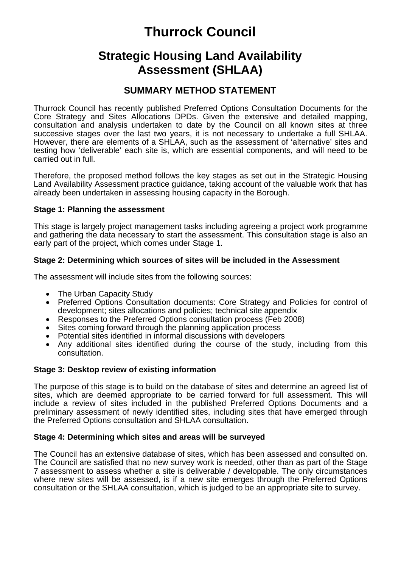# **Thurrock Council**

## **Strategic Housing Land Availability Assessment (SHLAA)**

### **SUMMARY METHOD STATEMENT**

Thurrock Council has recently published Preferred Options Consultation Documents for the Core Strategy and Sites Allocations DPDs. Given the extensive and detailed mapping, consultation and analysis undertaken to date by the Council on all known sites at three successive stages over the last two years, it is not necessary to undertake a full SHLAA. However, there are elements of a SHLAA, such as the assessment of 'alternative' sites and testing how 'deliverable' each site is, which are essential components, and will need to be carried out in full.

Therefore, the proposed method follows the key stages as set out in the Strategic Housing Land Availability Assessment practice guidance, taking account of the valuable work that has already been undertaken in assessing housing capacity in the Borough.

#### **Stage 1: Planning the assessment**

This stage is largely project management tasks including agreeing a project work programme and gathering the data necessary to start the assessment. This consultation stage is also an early part of the project, which comes under Stage 1.

#### **Stage 2: Determining which sources of sites will be included in the Assessment**

The assessment will include sites from the following sources:

- The Urban Capacity Study
- Preferred Options Consultation documents: Core Strategy and Policies for control of development; sites allocations and policies; technical site appendix
- Responses to the Preferred Options consultation process (Feb 2008)
- Sites coming forward through the planning application process
- Potential sites identified in informal discussions with developers
- Any additional sites identified during the course of the study, including from this consultation.

#### **Stage 3: Desktop review of existing information**

The purpose of this stage is to build on the database of sites and determine an agreed list of sites, which are deemed appropriate to be carried forward for full assessment. This will include a review of sites included in the published Preferred Options Documents and a preliminary assessment of newly identified sites, including sites that have emerged through the Preferred Options consultation and SHLAA consultation.

#### **Stage 4: Determining which sites and areas will be surveyed**

The Council has an extensive database of sites, which has been assessed and consulted on. The Council are satisfied that no new survey work is needed, other than as part of the Stage 7 assessment to assess whether a site is deliverable / developable. The only circumstances where new sites will be assessed, is if a new site emerges through the Preferred Options consultation or the SHLAA consultation, which is judged to be an appropriate site to survey.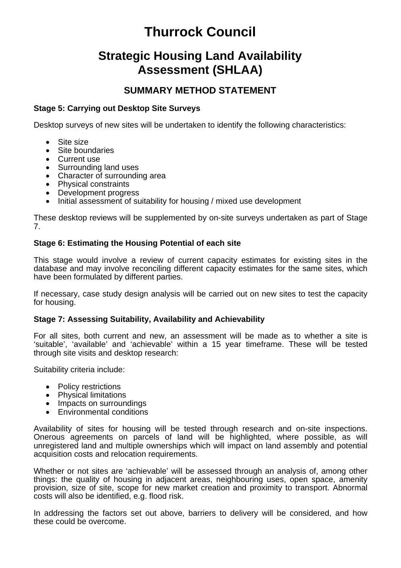# **Thurrock Council**

## **Strategic Housing Land Availability Assessment (SHLAA)**

### **SUMMARY METHOD STATEMENT**

#### **Stage 5: Carrying out Desktop Site Surveys**

Desktop surveys of new sites will be undertaken to identify the following characteristics:

- Site size
- Site boundaries
- Current use
- Surrounding land uses
- Character of surrounding area
- Physical constraints
- Development progress
- Initial assessment of suitability for housing / mixed use development

These desktop reviews will be supplemented by on-site surveys undertaken as part of Stage 7.

#### **Stage 6: Estimating the Housing Potential of each site**

This stage would involve a review of current capacity estimates for existing sites in the database and may involve reconciling different capacity estimates for the same sites, which have been formulated by different parties.

If necessary, case study design analysis will be carried out on new sites to test the capacity for housing.

#### **Stage 7: Assessing Suitability, Availability and Achievability**

For all sites, both current and new, an assessment will be made as to whether a site is 'suitable', 'available' and 'achievable' within a 15 year timeframe. These will be tested through site visits and desktop research:

Suitability criteria include:

- Policy restrictions
- Physical limitations
- Impacts on surroundings
- Environmental conditions

Availability of sites for housing will be tested through research and on-site inspections. Onerous agreements on parcels of land will be highlighted, where possible, as will unregistered land and multiple ownerships which will impact on land assembly and potential acquisition costs and relocation requirements.

Whether or not sites are 'achievable' will be assessed through an analysis of, among other things: the quality of housing in adjacent areas, neighbouring uses, open space, amenity provision, size of site, scope for new market creation and proximity to transport. Abnormal costs will also be identified, e.g. flood risk.

In addressing the factors set out above, barriers to delivery will be considered, and how these could be overcome.